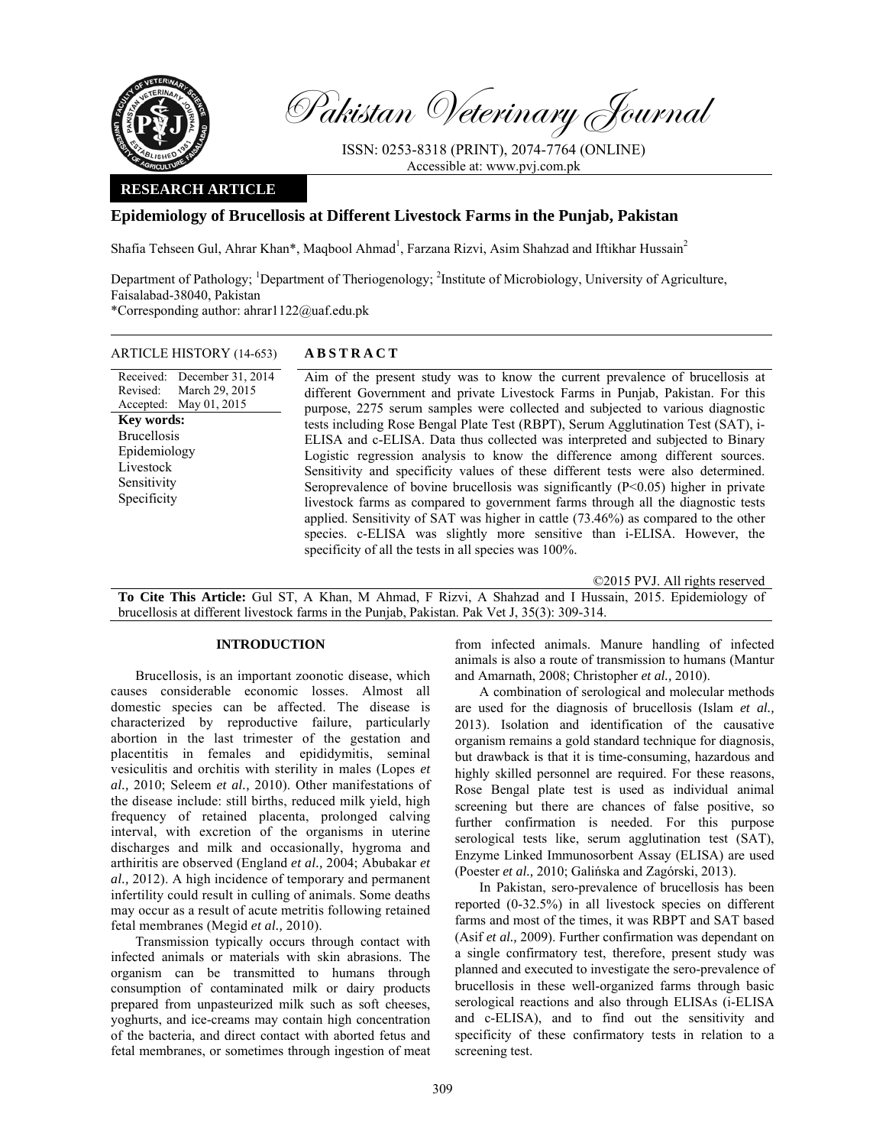

Pakistan Veterinary Journal

ISSN: 0253-8318 (PRINT), 2074-7764 (ONLINE) Accessible at: www.pvj.com.pk

## **RESEARCH ARTICLE**

# **Epidemiology of Brucellosis at Different Livestock Farms in the Punjab, Pakistan**

Shafia Tehseen Gul, Ahrar Khan\*, Maqbool Ahmad<sup>1</sup>, Farzana Rizvi, Asim Shahzad and Iftikhar Hussain<sup>2</sup>

Department of Pathology; <sup>1</sup>Department of Theriogenology; <sup>2</sup>Institute of Microbiology, University of Agriculture, Faisalabad-38040, Pakistan

\*Corresponding author: ahrar1122@uaf.edu.pk

| ARTICLE HISTORY (14-653) | <b>ABSTRACT</b> |
|--------------------------|-----------------|
|--------------------------|-----------------|

Received: Revised: Accepted: December 31, 2014 March 29, 2015 May 01, 2015 **Key words:**  Brucellosis Epidemiology Livestock Sensitivity Specificity

 Aim of the present study was to know the current prevalence of brucellosis at different Government and private Livestock Farms in Punjab, Pakistan. For this purpose, 2275 serum samples were collected and subjected to various diagnostic tests including Rose Bengal Plate Test (RBPT), Serum Agglutination Test (SAT), i-ELISA and c-ELISA. Data thus collected was interpreted and subjected to Binary Logistic regression analysis to know the difference among different sources. Sensitivity and specificity values of these different tests were also determined. Seroprevalence of bovine brucellosis was significantly  $(P<0.05)$  higher in private livestock farms as compared to government farms through all the diagnostic tests applied. Sensitivity of SAT was higher in cattle (73.46%) as compared to the other species. c-ELISA was slightly more sensitive than i-ELISA. However, the specificity of all the tests in all species was  $100\%$ .

©2015 PVJ. All rights reserved

**To Cite This Article:** Gul ST, A Khan, M Ahmad, F Rizvi, A Shahzad and I Hussain, 2015. Epidemiology of brucellosis at different livestock farms in the Punjab, Pakistan. Pak Vet J, 35(3): 309-314.

#### **INTRODUCTION**

Brucellosis, is an important zoonotic disease, which causes considerable economic losses. Almost all domestic species can be affected. The disease is characterized by reproductive failure, particularly abortion in the last trimester of the gestation and placentitis in females and epididymitis, seminal vesiculitis and orchitis with sterility in males (Lopes *et al.,* 2010; Seleem *et al.,* 2010). Other manifestations of the disease include: still births, reduced milk yield, high frequency of retained placenta, prolonged calving interval, with excretion of the organisms in uterine discharges and milk and occasionally, hygroma and arthiritis are observed (England *et al.,* 2004; Abubakar *et al.,* 2012). A high incidence of temporary and permanent infertility could result in culling of animals. Some deaths may occur as a result of acute metritis following retained fetal membranes (Megid *et al.,* 2010).

Transmission typically occurs through contact with infected animals or materials with skin abrasions. The organism can be transmitted to humans through consumption of contaminated milk or dairy products prepared from unpasteurized milk such as soft cheeses, yoghurts, and ice-creams may contain high concentration of the bacteria, and direct contact with aborted fetus and fetal membranes, or sometimes through ingestion of meat from infected animals. Manure handling of infected animals is also a route of transmission to humans (Mantur and Amarnath, 2008; Christopher *et al.,* 2010).

A combination of serological and molecular methods are used for the diagnosis of brucellosis (Islam *et al.,* 2013). Isolation and identification of the causative organism remains a gold standard technique for diagnosis, but drawback is that it is time-consuming, hazardous and highly skilled personnel are required. For these reasons, Rose Bengal plate test is used as individual animal screening but there are chances of false positive, so further confirmation is needed. For this purpose serological tests like, serum agglutination test (SAT), Enzyme Linked Immunosorbent Assay (ELISA) are used (Poester *et al.,* 2010; Galińska and Zagórski, 2013).

In Pakistan, sero-prevalence of brucellosis has been reported (0-32.5%) in all livestock species on different farms and most of the times, it was RBPT and SAT based (Asif *et al.,* 2009). Further confirmation was dependant on a single confirmatory test, therefore, present study was planned and executed to investigate the sero-prevalence of brucellosis in these well-organized farms through basic serological reactions and also through ELISAs (i-ELISA and c-ELISA), and to find out the sensitivity and specificity of these confirmatory tests in relation to a screening test.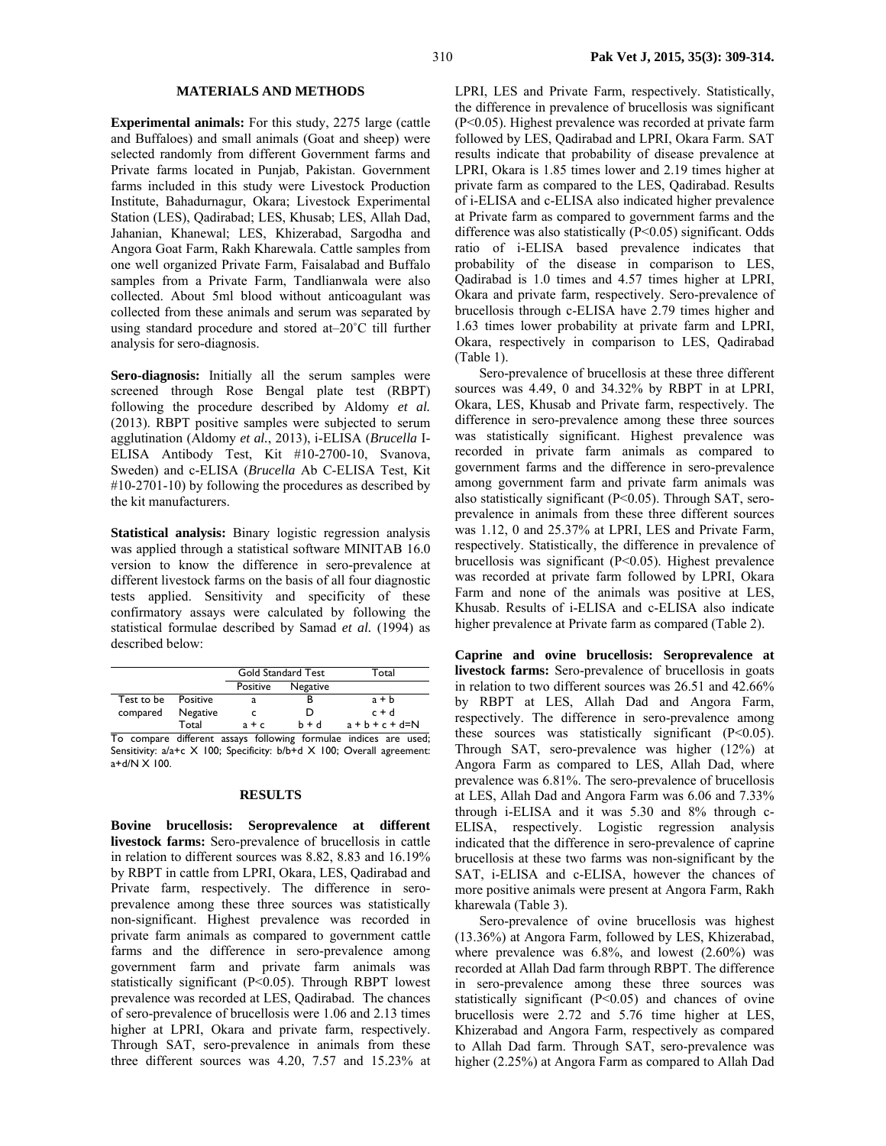### 310 **Pak Vet J, 2015, 35(3): 309-314.**

### **MATERIALS AND METHODS**

**Experimental animals:** For this study, 2275 large (cattle and Buffaloes) and small animals (Goat and sheep) were selected randomly from different Government farms and Private farms located in Punjab, Pakistan. Government farms included in this study were Livestock Production Institute, Bahadurnagur, Okara; Livestock Experimental Station (LES), Qadirabad; LES, Khusab; LES, Allah Dad, Jahanian, Khanewal; LES, Khizerabad, Sargodha and Angora Goat Farm, Rakh Kharewala. Cattle samples from one well organized Private Farm, Faisalabad and Buffalo samples from a Private Farm, Tandlianwala were also collected. About 5ml blood without anticoagulant was collected from these animals and serum was separated by using standard procedure and stored at–20˚C till further analysis for sero-diagnosis.

**Sero-diagnosis:** Initially all the serum samples were screened through Rose Bengal plate test (RBPT) following the procedure described by Aldomy *et al.* (2013). RBPT positive samples were subjected to serum agglutination (Aldomy *et al.*, 2013), i-ELISA (*Brucella* I-ELISA Antibody Test, Kit #10-2700-10, Svanova, Sweden) and c-ELISA (*Brucella* Ab C-ELISA Test, Kit #10-2701-10) by following the procedures as described by the kit manufacturers.

**Statistical analysis:** Binary logistic regression analysis was applied through a statistical software MINITAB 16.0 version to know the difference in sero-prevalence at different livestock farms on the basis of all four diagnostic tests applied. Sensitivity and specificity of these confirmatory assays were calculated by following the statistical formulae described by Samad *et al.* (1994) as described below:

|            |          |          | <b>Gold Standard Test</b> | Total               |
|------------|----------|----------|---------------------------|---------------------|
|            |          | Positive | Negative                  |                     |
| Test to be | Positive |          |                           | $a + b$             |
| compared   | Negative |          | D                         | $c + d$             |
|            | Total    | $a + c$  | $h + d$                   | $a + b + c + d = N$ |

To compare different assays following formulae indices are used; Sensitivity: a/a+c X 100; Specificity: b/b+d X 100; Overall agreement:  $a+d/N \times 100$ .

#### **RESULTS**

**Bovine brucellosis: Seroprevalence at different livestock farms:** Sero-prevalence of brucellosis in cattle in relation to different sources was 8.82, 8.83 and 16.19% by RBPT in cattle from LPRI, Okara, LES, Qadirabad and Private farm, respectively. The difference in seroprevalence among these three sources was statistically non-significant. Highest prevalence was recorded in private farm animals as compared to government cattle farms and the difference in sero-prevalence among government farm and private farm animals was statistically significant (P<0.05). Through RBPT lowest prevalence was recorded at LES, Qadirabad. The chances of sero-prevalence of brucellosis were 1.06 and 2.13 times higher at LPRI, Okara and private farm, respectively. Through SAT, sero-prevalence in animals from these three different sources was 4.20, 7.57 and 15.23% at

LPRI, LES and Private Farm, respectively. Statistically, the difference in prevalence of brucellosis was significant (P<0.05). Highest prevalence was recorded at private farm followed by LES, Qadirabad and LPRI, Okara Farm. SAT results indicate that probability of disease prevalence at LPRI, Okara is 1.85 times lower and 2.19 times higher at private farm as compared to the LES, Qadirabad. Results of i-ELISA and c-ELISA also indicated higher prevalence at Private farm as compared to government farms and the difference was also statistically (P<0.05) significant. Odds ratio of i-ELISA based prevalence indicates that probability of the disease in comparison to LES, Qadirabad is 1.0 times and 4.57 times higher at LPRI, Okara and private farm, respectively. Sero-prevalence of brucellosis through c-ELISA have 2.79 times higher and 1.63 times lower probability at private farm and LPRI, Okara, respectively in comparison to LES, Qadirabad (Table 1).

Sero-prevalence of brucellosis at these three different sources was 4.49, 0 and 34.32% by RBPT in at LPRI, Okara, LES, Khusab and Private farm, respectively. The difference in sero-prevalence among these three sources was statistically significant. Highest prevalence was recorded in private farm animals as compared to government farms and the difference in sero-prevalence among government farm and private farm animals was also statistically significant (P<0.05). Through SAT, seroprevalence in animals from these three different sources was 1.12, 0 and 25.37% at LPRI, LES and Private Farm, respectively. Statistically, the difference in prevalence of brucellosis was significant (P<0.05). Highest prevalence was recorded at private farm followed by LPRI, Okara Farm and none of the animals was positive at LES, Khusab. Results of i-ELISA and c-ELISA also indicate higher prevalence at Private farm as compared (Table 2).

**Caprine and ovine brucellosis: Seroprevalence at livestock farms:** Sero-prevalence of brucellosis in goats in relation to two different sources was 26.51 and 42.66% by RBPT at LES, Allah Dad and Angora Farm, respectively. The difference in sero-prevalence among these sources was statistically significant (P<0.05). Through SAT, sero-prevalence was higher (12%) at Angora Farm as compared to LES, Allah Dad, where prevalence was 6.81%. The sero-prevalence of brucellosis at LES, Allah Dad and Angora Farm was 6.06 and 7.33% through i-ELISA and it was 5.30 and 8% through c-ELISA, respectively. Logistic regression analysis indicated that the difference in sero-prevalence of caprine brucellosis at these two farms was non-significant by the SAT, i-ELISA and c-ELISA, however the chances of more positive animals were present at Angora Farm, Rakh kharewala (Table 3).

Sero-prevalence of ovine brucellosis was highest (13.36%) at Angora Farm, followed by LES, Khizerabad, where prevalence was  $6.8\%$ , and lowest  $(2.60\%)$  was recorded at Allah Dad farm through RBPT. The difference in sero-prevalence among these three sources was statistically significant  $(P<0.05)$  and chances of ovine brucellosis were 2.72 and 5.76 time higher at LES, Khizerabad and Angora Farm, respectively as compared to Allah Dad farm. Through SAT, sero-prevalence was higher (2.25%) at Angora Farm as compared to Allah Dad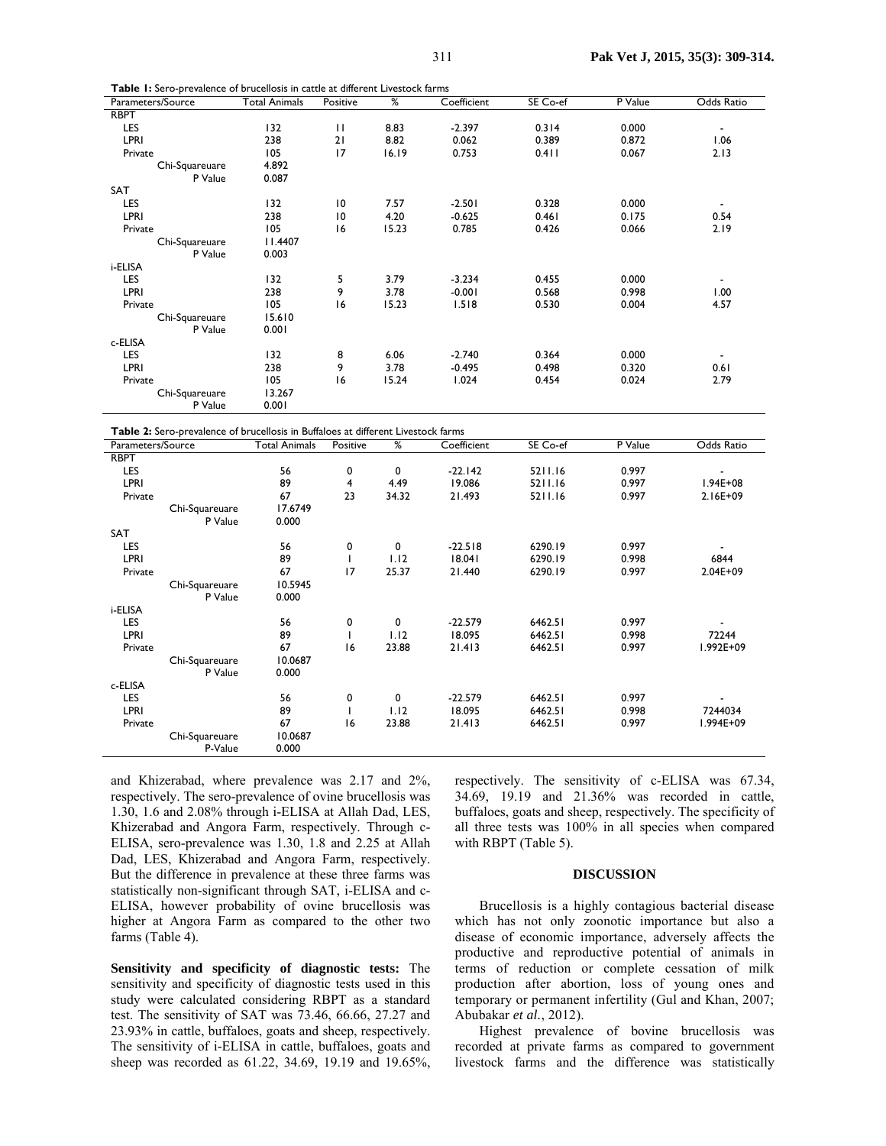| Parameters/Source                                                                 | <b>Total Animals</b> | Positive       | ℅     | Coefficient | SE Co-ef | P Value | Odds Ratio               |
|-----------------------------------------------------------------------------------|----------------------|----------------|-------|-------------|----------|---------|--------------------------|
| <b>RBPT</b>                                                                       |                      |                |       |             |          |         |                          |
| LES                                                                               | 132                  | $\mathbf{H}$   | 8.83  | $-2.397$    | 0.314    | 0.000   | $\overline{\phantom{a}}$ |
| LPRI                                                                              | 238                  | 21             | 8.82  | 0.062       | 0.389    | 0.872   | 1.06                     |
| Private                                                                           | 105                  | 17             | 16.19 | 0.753       | 0.411    | 0.067   | 2.13                     |
| Chi-Squareuare                                                                    | 4.892                |                |       |             |          |         |                          |
| P Value                                                                           | 0.087                |                |       |             |          |         |                          |
| SAT                                                                               |                      |                |       |             |          |         |                          |
| LES                                                                               | 132                  | 10             | 7.57  | $-2.501$    | 0.328    | 0.000   | $\overline{\phantom{a}}$ |
| <b>LPRI</b>                                                                       | 238                  | $\overline{0}$ | 4.20  | $-0.625$    | 0.461    | 0.175   | 0.54                     |
| Private                                                                           | 105                  | 16             | 15.23 | 0.785       | 0.426    | 0.066   | 2.19                     |
| Chi-Squareuare                                                                    | 11.4407              |                |       |             |          |         |                          |
| P Value                                                                           | 0.003                |                |       |             |          |         |                          |
| i-ELISA                                                                           |                      |                |       |             |          |         |                          |
| LES                                                                               | 132                  | 5              | 3.79  | $-3.234$    | 0.455    | 0.000   | $\overline{\phantom{a}}$ |
| <b>LPRI</b>                                                                       | 238                  | 9              | 3.78  | $-0.001$    | 0.568    | 0.998   | 1.00                     |
| Private                                                                           | 105                  | 16             | 15.23 | 1.518       | 0.530    | 0.004   | 4.57                     |
| Chi-Squareuare                                                                    | 15.610               |                |       |             |          |         |                          |
| P Value                                                                           | 0.001                |                |       |             |          |         |                          |
| c-ELISA                                                                           |                      |                |       |             |          |         |                          |
| LES                                                                               | 132                  | 8              | 6.06  | $-2.740$    | 0.364    | 0.000   | $\overline{\phantom{a}}$ |
| LPRI                                                                              | 238                  | 9              | 3.78  | $-0.495$    | 0.498    | 0.320   | 0.61                     |
| Private                                                                           | 105                  | 16             | 15.24 | 1.024       | 0.454    | 0.024   | 2.79                     |
| Chi-Squareuare                                                                    | 13.267               |                |       |             |          |         |                          |
| P Value                                                                           | 0.001                |                |       |             |          |         |                          |
|                                                                                   |                      |                |       |             |          |         |                          |
| Table 2: Sero-prevalence of brucellosis in Buffaloes at different Livestock farms |                      |                |       |             |          |         |                          |
|                                                                                   |                      |                |       |             |          |         |                          |

| Parameters/Source | <b>Total Animals</b> | Positive | $\frac{9}{6}$ | Coefficient | SE Co-ef | $\overline{P}$ Value | Odds Ratio               |
|-------------------|----------------------|----------|---------------|-------------|----------|----------------------|--------------------------|
| <b>RBPT</b>       |                      |          |               |             |          |                      |                          |
| LES               | 56                   | 0        | 0             | $-22.142$   | 5211.16  | 0.997                |                          |
| LPRI              | 89                   | 4        | 4.49          | 19.086      | 5211.16  | 0.997                | I.94E+08                 |
| Private           | 67                   | 23       | 34.32         | 21.493      | 5211.16  | 0.997                | 2.16E+09                 |
| Chi-Squareuare    | 17.6749              |          |               |             |          |                      |                          |
| P Value           | 0.000                |          |               |             |          |                      |                          |
| SAT               |                      |          |               |             |          |                      |                          |
| LES               | 56                   | 0        | 0             | $-22.518$   | 6290.19  | 0.997                |                          |
| LPRI              | 89                   |          | 1.12          | 18.041      | 6290.19  | 0.998                | 6844                     |
| Private           | 67                   | 17       | 25.37         | 21.440      | 6290.19  | 0.997                | 2.04E+09                 |
| Chi-Squareuare    | 10.5945              |          |               |             |          |                      |                          |
| P Value           | 0.000                |          |               |             |          |                      |                          |
| i-ELISA           |                      |          |               |             |          |                      |                          |
| LES               | 56                   | 0        | 0             | $-22.579$   | 6462.51  | 0.997                |                          |
| LPRI              | 89                   |          | 1.12          | 18.095      | 6462.51  | 0.998                | 72244                    |
| Private           | 67                   | 16       | 23.88         | 21.413      | 6462.51  | 0.997                | I.992E+09                |
| Chi-Squareuare    | 10.0687              |          |               |             |          |                      |                          |
| P Value           | 0.000                |          |               |             |          |                      |                          |
| c-ELISA           |                      |          |               |             |          |                      |                          |
| LES               | 56                   | 0        | 0             | $-22.579$   | 6462.51  | 0.997                | $\overline{\phantom{0}}$ |
| <b>LPRI</b>       | 89                   |          | 1.12          | 18.095      | 6462.51  | 0.998                | 7244034                  |
| Private           | 67                   | 16       | 23.88         | 21.413      | 6462.51  | 0.997                | l.994E+09                |
| Chi-Squareuare    | 10.0687              |          |               |             |          |                      |                          |
| P-Value           | 0.000                |          |               |             |          |                      |                          |

and Khizerabad, where prevalence was 2.17 and 2%, respectively. The sero-prevalence of ovine brucellosis was 1.30, 1.6 and 2.08% through i-ELISA at Allah Dad, LES, Khizerabad and Angora Farm, respectively. Through c-ELISA, sero-prevalence was 1.30, 1.8 and 2.25 at Allah Dad, LES, Khizerabad and Angora Farm, respectively. But the difference in prevalence at these three farms was statistically non-significant through SAT, i-ELISA and c-ELISA, however probability of ovine brucellosis was higher at Angora Farm as compared to the other two farms (Table 4).

**Table 1:** Sero-prevalence of brucellosis in cattle at different Livestock farms

**Sensitivity and specificity of diagnostic tests:** The sensitivity and specificity of diagnostic tests used in this study were calculated considering RBPT as a standard test. The sensitivity of SAT was 73.46, 66.66, 27.27 and 23.93% in cattle, buffaloes, goats and sheep, respectively. The sensitivity of i-ELISA in cattle, buffaloes, goats and sheep was recorded as 61.22, 34.69, 19.19 and 19.65%,

respectively. The sensitivity of c-ELISA was 67.34, 34.69, 19.19 and 21.36% was recorded in cattle, buffaloes, goats and sheep, respectively. The specificity of all three tests was 100% in all species when compared with RBPT (Table 5).

#### **DISCUSSION**

Brucellosis is a highly contagious bacterial disease which has not only zoonotic importance but also a disease of economic importance, adversely affects the productive and reproductive potential of animals in terms of reduction or complete cessation of milk production after abortion, loss of young ones and temporary or permanent infertility (Gul and Khan, 2007; Abubakar *et al.*, 2012).

Highest prevalence of bovine brucellosis was recorded at private farms as compared to government livestock farms and the difference was statistically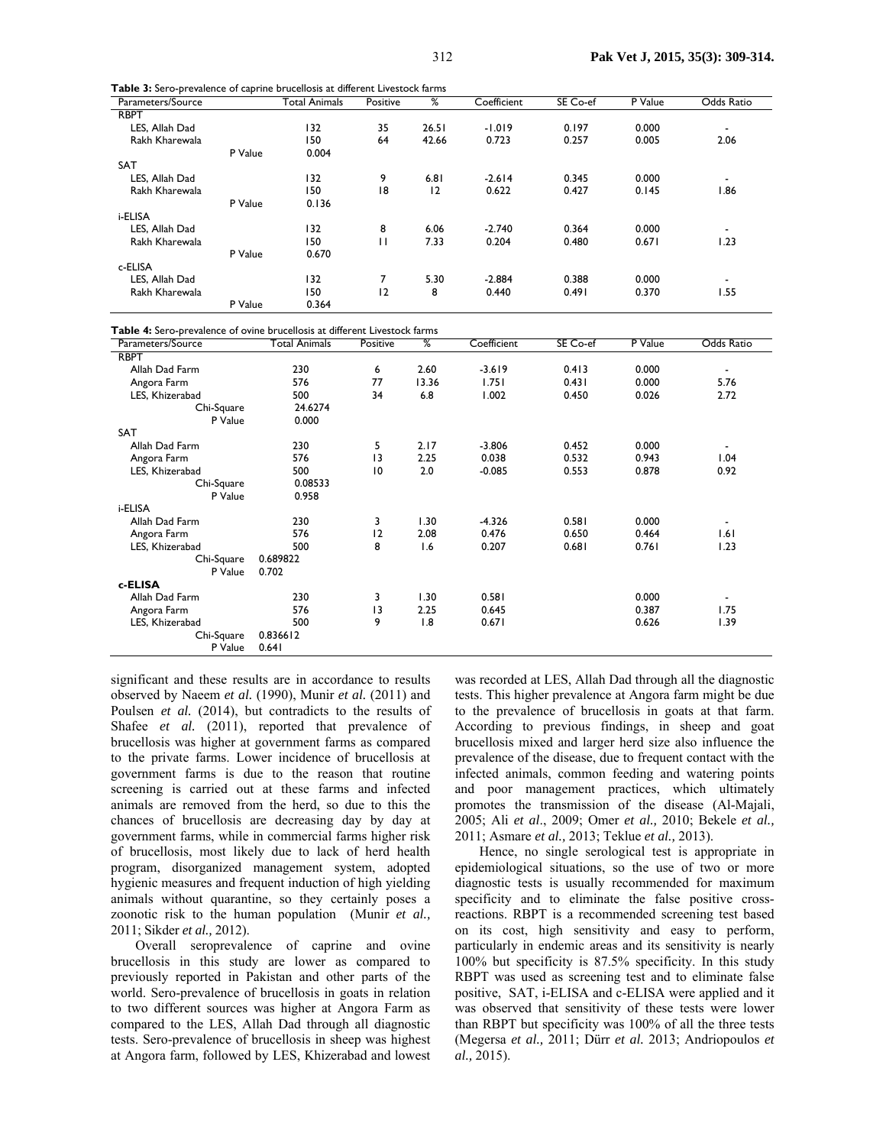| Parameters/Source |         | <b>Total Animals</b> | Positive | %     | Coefficient | SE Co-ef | P Value | Odds Ratio |
|-------------------|---------|----------------------|----------|-------|-------------|----------|---------|------------|
| <b>RBPT</b>       |         |                      |          |       |             |          |         |            |
| LES, Allah Dad    |         | 132                  | 35       | 26.51 | $-1.019$    | 0.197    | 0.000   |            |
| Rakh Kharewala    |         | 150                  | 64       | 42.66 | 0.723       | 0.257    | 0.005   | 2.06       |
|                   | P Value | 0.004                |          |       |             |          |         |            |
| <b>SAT</b>        |         |                      |          |       |             |          |         |            |
| LES, Allah Dad    |         | 132                  | 9        | 6.81  | $-2.614$    | 0.345    | 0.000   | ۰          |
| Rakh Kharewala    |         | 150                  | 18       | 12    | 0.622       | 0.427    | 0.145   | 1.86       |
|                   | P Value | 0.136                |          |       |             |          |         |            |
| i-ELISA           |         |                      |          |       |             |          |         |            |
| LES, Allah Dad    |         | 132                  | 8        | 6.06  | $-2.740$    | 0.364    | 0.000   | ۰          |
| Rakh Kharewala    |         | 150                  | п        | 7.33  | 0.204       | 0.480    | 0.671   | 1.23       |
|                   | P Value | 0.670                |          |       |             |          |         |            |
| c-ELISA           |         |                      |          |       |             |          |         |            |
| LES, Allah Dad    |         | 132                  |          | 5.30  | $-2.884$    | 0.388    | 0.000   | ٠          |
| Rakh Kharewala    |         | 150                  | 2        | 8     | 0.440       | 0.491    | 0.370   | 1.55       |
|                   | P Value | 0.364                |          |       |             |          |         |            |

| Table 3: Sero-prevalence of caprine brucellosis at different Livestock farms |
|------------------------------------------------------------------------------|
|------------------------------------------------------------------------------|

**Table 4:** Sero-prevalence of ovine brucellosis at different Livestock farms

| $\frac{1}{2}$ and $\frac{1}{2}$ is set of provided in $\frac{1}{2}$<br>Parameters/Source | <b>Total Animals</b> | Positive | %     | Coefficient | SE Co-ef | P Value | Odds Ratio               |
|------------------------------------------------------------------------------------------|----------------------|----------|-------|-------------|----------|---------|--------------------------|
| <b>RBPT</b>                                                                              |                      |          |       |             |          |         |                          |
| Allah Dad Farm                                                                           | 230                  | 6        | 2.60  | $-3.619$    | 0.413    | 0.000   | $\overline{\phantom{a}}$ |
| Angora Farm                                                                              | 576                  | 77       | 13.36 | 1.751       | 0.431    | 0.000   | 5.76                     |
| LES, Khizerabad                                                                          | 500                  | 34       | 6.8   | 1.002       | 0.450    | 0.026   | 2.72                     |
| Chi-Square                                                                               | 24.6274              |          |       |             |          |         |                          |
| P Value                                                                                  | 0.000                |          |       |             |          |         |                          |
| <b>SAT</b>                                                                               |                      |          |       |             |          |         |                          |
| Allah Dad Farm                                                                           | 230                  | 5        | 2.17  | $-3.806$    | 0.452    | 0.000   | $\overline{\phantom{a}}$ |
| Angora Farm                                                                              | 576                  | 13       | 2.25  | 0.038       | 0.532    | 0.943   | 1.04                     |
| LES, Khizerabad                                                                          | 500                  | 10       | 2.0   | $-0.085$    | 0.553    | 0.878   | 0.92                     |
| Chi-Square                                                                               | 0.08533              |          |       |             |          |         |                          |
| P Value                                                                                  | 0.958                |          |       |             |          |         |                          |
| i-ELISA                                                                                  |                      |          |       |             |          |         |                          |
| Allah Dad Farm                                                                           | 230                  | 3        | 1.30  | $-4.326$    | 0.581    | 0.000   | ٠                        |
| Angora Farm                                                                              | 576                  | 12       | 2.08  | 0.476       | 0.650    | 0.464   | 1.61                     |
| LES, Khizerabad                                                                          | 500                  | 8        | 1.6   | 0.207       | 0.681    | 0.761   | 1.23                     |
| Chi-Square                                                                               | 0.689822             |          |       |             |          |         |                          |
| P Value                                                                                  | 0.702                |          |       |             |          |         |                          |
| c-ELISA                                                                                  |                      |          |       |             |          |         |                          |
| Allah Dad Farm                                                                           | 230                  | 3        | 1.30  | 0.581       |          | 0.000   | $\blacksquare$           |
| Angora Farm                                                                              | 576                  | 13       | 2.25  | 0.645       |          | 0.387   | 1.75                     |
| LES, Khizerabad                                                                          | 500                  | 9        | 1.8   | 0.671       |          | 0.626   | 1.39                     |
| Chi-Square                                                                               | 0.836612             |          |       |             |          |         |                          |
| P Value                                                                                  | 0.641                |          |       |             |          |         |                          |

significant and these results are in accordance to results observed by Naeem *et al.* (1990), Munir *et al.* (2011) and Poulsen *et al.* (2014), but contradicts to the results of Shafee *et al.* (2011), reported that prevalence of brucellosis was higher at government farms as compared to the private farms. Lower incidence of brucellosis at government farms is due to the reason that routine screening is carried out at these farms and infected animals are removed from the herd, so due to this the chances of brucellosis are decreasing day by day at government farms, while in commercial farms higher risk of brucellosis, most likely due to lack of herd health program, disorganized management system, adopted hygienic measures and frequent induction of high yielding animals without quarantine, so they certainly poses a zoonotic risk to the human population (Munir *et al.,* 2011; Sikder *et al.,* 2012).

Overall seroprevalence of caprine and ovine brucellosis in this study are lower as compared to previously reported in Pakistan and other parts of the world. Sero-prevalence of brucellosis in goats in relation to two different sources was higher at Angora Farm as compared to the LES, Allah Dad through all diagnostic tests. Sero-prevalence of brucellosis in sheep was highest at Angora farm, followed by LES, Khizerabad and lowest

was recorded at LES, Allah Dad through all the diagnostic tests. This higher prevalence at Angora farm might be due to the prevalence of brucellosis in goats at that farm. According to previous findings, in sheep and goat brucellosis mixed and larger herd size also influence the prevalence of the disease, due to frequent contact with the infected animals, common feeding and watering points and poor management practices, which ultimately promotes the transmission of the disease (Al-Majali, 2005; Ali *et al*., 2009; Omer *et al.,* 2010; Bekele *et al.,*  2011; Asmare *et al.,* 2013; Teklue *et al.,* 2013).

Hence, no single serological test is appropriate in epidemiological situations, so the use of two or more diagnostic tests is usually recommended for maximum specificity and to eliminate the false positive crossreactions. RBPT is a recommended screening test based on its cost, high sensitivity and easy to perform, particularly in endemic areas and its sensitivity is nearly 100% but specificity is 87.5% specificity. In this study RBPT was used as screening test and to eliminate false positive, SAT, i-ELISA and c-ELISA were applied and it was observed that sensitivity of these tests were lower than RBPT but specificity was 100% of all the three tests (Megersa *et al.,* 2011; Dürr *et al.* 2013; Andriopoulos *et al.,* 2015).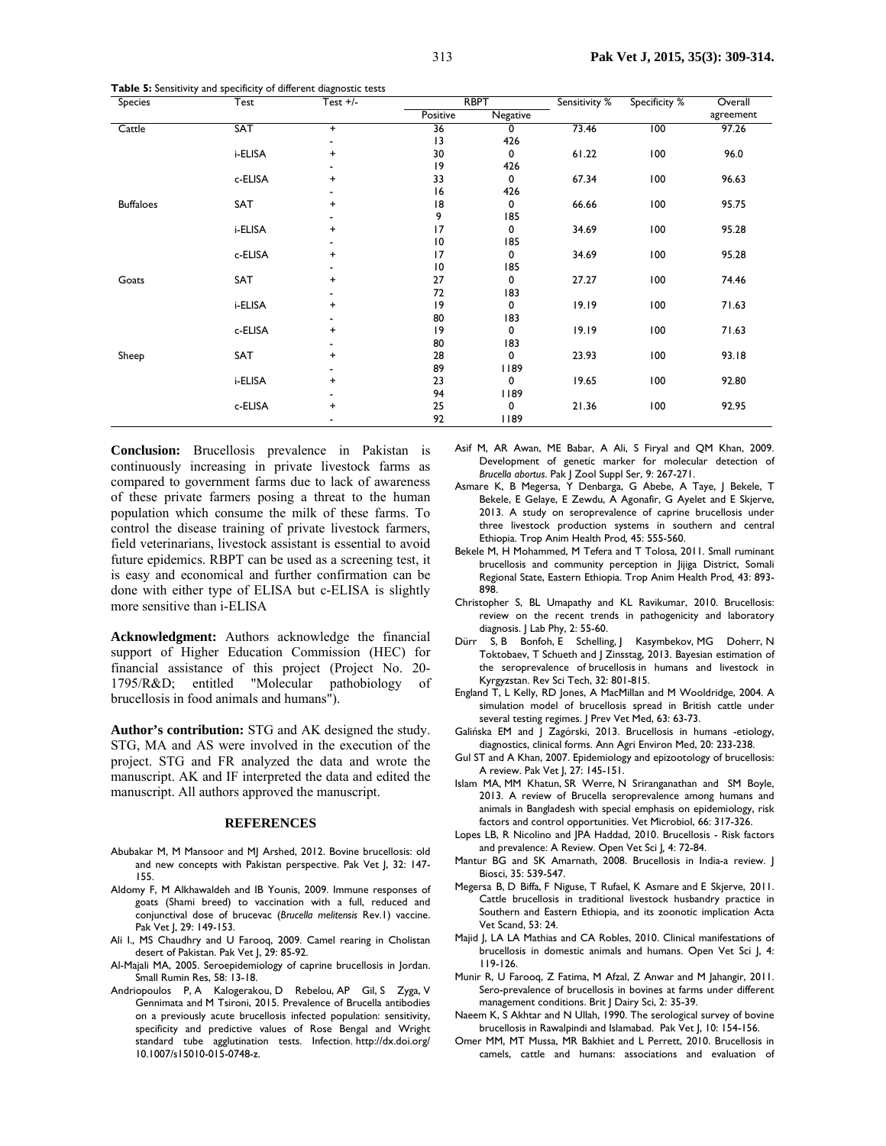| <b>Species</b>   | Test       | Test $+/-$               |          | <b>RBPT</b> | Sensitivity % | Specificity % | Overall   |
|------------------|------------|--------------------------|----------|-------------|---------------|---------------|-----------|
|                  |            |                          | Positive | Negative    |               |               | agreement |
| Cattle           | <b>SAT</b> | $\ddot{}$                | 36       | 0           | 73.46         | 100           | 97.26     |
|                  |            | $\overline{\phantom{0}}$ | 13       | 426         |               |               |           |
|                  | i-ELISA    | +                        | 30       | 0           | 61.22         | 100           | 96.0      |
|                  |            |                          | 9        | 426         |               |               |           |
|                  | c-ELISA    | +                        | 33       | 0           | 67.34         | 100           | 96.63     |
|                  |            |                          | 16       | 426         |               |               |           |
| <b>Buffaloes</b> | SAT        | +                        | 18       | 0           | 66.66         | 100           | 95.75     |
|                  |            |                          | 9        | 185         |               |               |           |
|                  | i-ELISA    | $\ddot{}$                | 17       | 0           | 34.69         | 100           | 95.28     |
|                  |            |                          | 10       | 185         |               |               |           |
|                  | c-ELISA    | $\ddot{}$                | 17       | 0           | 34.69         | 100           | 95.28     |
|                  |            |                          | 10       | 185         |               |               |           |
| Goats            | SAT        | $\ddot{}$                | 27       | 0           | 27.27         | 100           | 74.46     |
|                  |            |                          | 72       | 183         |               |               |           |
|                  | i-ELISA    | +                        | 9        | 0           | 19.19         | 100           | 71.63     |
|                  |            |                          | 80       | 183         |               |               |           |
|                  | c-ELISA    | $\ddot{}$                | 9        | 0           | 19.19         | 100           | 71.63     |
|                  |            | -                        | 80       | 183         |               |               |           |
| Sheep            | SAT        | +                        | 28       | 0           | 23.93         | 100           | 93.18     |
|                  |            | $\blacksquare$           | 89       | 1189        |               |               |           |
|                  | i-ELISA    | +                        | 23       | 0           | 19.65         | 100           | 92.80     |
|                  |            |                          | 94       | 1189        |               |               |           |
|                  | c-ELISA    | +                        | 25       | 0           | 21.36         | 100           | 92.95     |
|                  |            | $\blacksquare$           | 92       | 1189        |               |               |           |

**Table 5:** Sensitivity and specificity of different diagnostic tests

**Conclusion:** Brucellosis prevalence in Pakistan is continuously increasing in private livestock farms as compared to government farms due to lack of awareness of these private farmers posing a threat to the human population which consume the milk of these farms. To control the disease training of private livestock farmers, field veterinarians, livestock assistant is essential to avoid future epidemics. RBPT can be used as a screening test, it is easy and economical and further confirmation can be done with either type of ELISA but c-ELISA is slightly more sensitive than i-ELISA

**Acknowledgment:** Authors acknowledge the financial support of Higher Education Commission (HEC) for financial assistance of this project (Project No. 20- 1795/R&D; entitled "Molecular pathobiology of brucellosis in food animals and humans").

**Author's contribution:** STG and AK designed the study. STG, MA and AS were involved in the execution of the project. STG and FR analyzed the data and wrote the manuscript. AK and IF interpreted the data and edited the manuscript. All authors approved the manuscript.

#### **REFERENCES**

- Abubakar M, M Mansoor and MJ Arshed, 2012. Bovine brucellosis: old and new concepts with Pakistan perspective. Pak Vet J, 32: 147- 155.
- Aldomy F, M Alkhawaldeh and IB Younis, 2009. Immune responses of goats (Shami breed) to vaccination with a full, reduced and conjunctival dose of brucevac (*Brucella melitensis* Rev.1) vaccine. Pak Vet J, 29: 149-153.
- Ali I., MS Chaudhry and U Farooq, 2009. Camel rearing in Cholistan desert of Pakistan. Pak Vet J, 29: 85-92.
- Al-Majali MA, 2005. Seroepidemiology of caprine brucellosis in Jordan. Small Rumin Res, 58: 13-18.
- Andriopoulos P, A Kalogerakou, D Rebelou, AP Gil, S Zyga, V Gennimata and M Tsironi, 2015. Prevalence of Brucella antibodies on a previously acute brucellosis infected population: sensitivity, specificity and predictive values of Rose Bengal and Wright standard tube agglutination tests. Infection. http://dx.doi.org/ 10.1007/s15010-015-0748-z.
- Asif M, AR Awan, ME Babar, A Ali, S Firyal and QM Khan, 2009. Development of genetic marker for molecular detection of *Brucella abortus*. Pak J Zool Suppl Ser, 9: 267-271.
- Asmare K, B Megersa, Y Denbarga, G Abebe, A Taye, J Bekele, T Bekele, E Gelaye, E Zewdu, A Agonafir, G Ayelet and E Skjerve, 2013. A study on seroprevalence of caprine brucellosis under three livestock production systems in southern and central Ethiopia. Trop Anim Health Prod*,* 45: 555-560.
- Bekele M, H Mohammed, M Tefera and T Tolosa, 2011. Small ruminant brucellosis and community perception in Jijiga District, Somali Regional State, Eastern Ethiopia. Trop Anim Health Prod*,* 43: 893- 898.
- Christopher S, BL Umapathy and KL Ravikumar, 2010. Brucellosis: review on the recent trends in pathogenicity and laboratory diagnosis. J Lab Phy, 2: 55-60.
- Dürr S, B Bonfoh, E Schelling, J Kasymbekov, MG Doherr, N Toktobaev, T Schueth and J Zinsstag, 2013. Bayesian estimation of the seroprevalence of brucellosis in humans and livestock in Kyrgyzstan. Rev Sci Tech, 32: 801-815.
- England T, L Kelly, RD Jones, A MacMillan and M Wooldridge, 2004. A simulation model of brucellosis spread in British cattle under several testing regimes. J Prev Vet Med, 63: 63-73.
- Galińska EM and J Zagórski, 2013. Brucellosis in humans -etiology, diagnostics, clinical forms. Ann Agri Environ Med, 20: 233-238.
- Gul ST and A Khan, 2007. Epidemiology and epizootology of brucellosis: A review. Pak Vet J, 27: 145-151.
- Islam MA, MM Khatun, SR Werre, N Sriranganathan and SM Boyle, 2013. A review of Brucella seroprevalence among humans and animals in Bangladesh with special emphasis on epidemiology, risk factors and control opportunities. Vet Microbiol, 66: 317-326.
- Lopes LB, R Nicolino and JPA Haddad, 2010. Brucellosis Risk factors and prevalence: A Review. Open Vet Sci J*,* 4: 72-84.
- Mantur BG and SK Amarnath, 2008. Brucellosis in India-a review. J Biosci, 35: 539-547.
- Megersa B, D Biffa, F Niguse, T Rufael, K Asmare and E Skjerve, 2011. Cattle brucellosis in traditional livestock husbandry practice in Southern and Eastern Ethiopia, and its zoonotic implication Acta Vet Scand, 53: 24.
- Majid J, LA LA Mathias and CA Robles, 2010. Clinical manifestations of brucellosis in domestic animals and humans. Open Vet Sci J, 4: 119-126.
- Munir R, U Farooq, Z Fatima, M Afzal, Z Anwar and M Jahangir, 2011. Sero-prevalence of brucellosis in bovines at farms under different management conditions. Brit J Dairy Sci, 2: 35-39.
- Naeem K, S Akhtar and N Ullah, 1990. The serological survey of bovine brucellosis in Rawalpindi and Islamabad. Pak Vet J, 10: 154-156.
- Omer MM, MT Mussa, MR Bakhiet and L Perrett, 2010. Brucellosis in camels, cattle and humans: associations and evaluation of